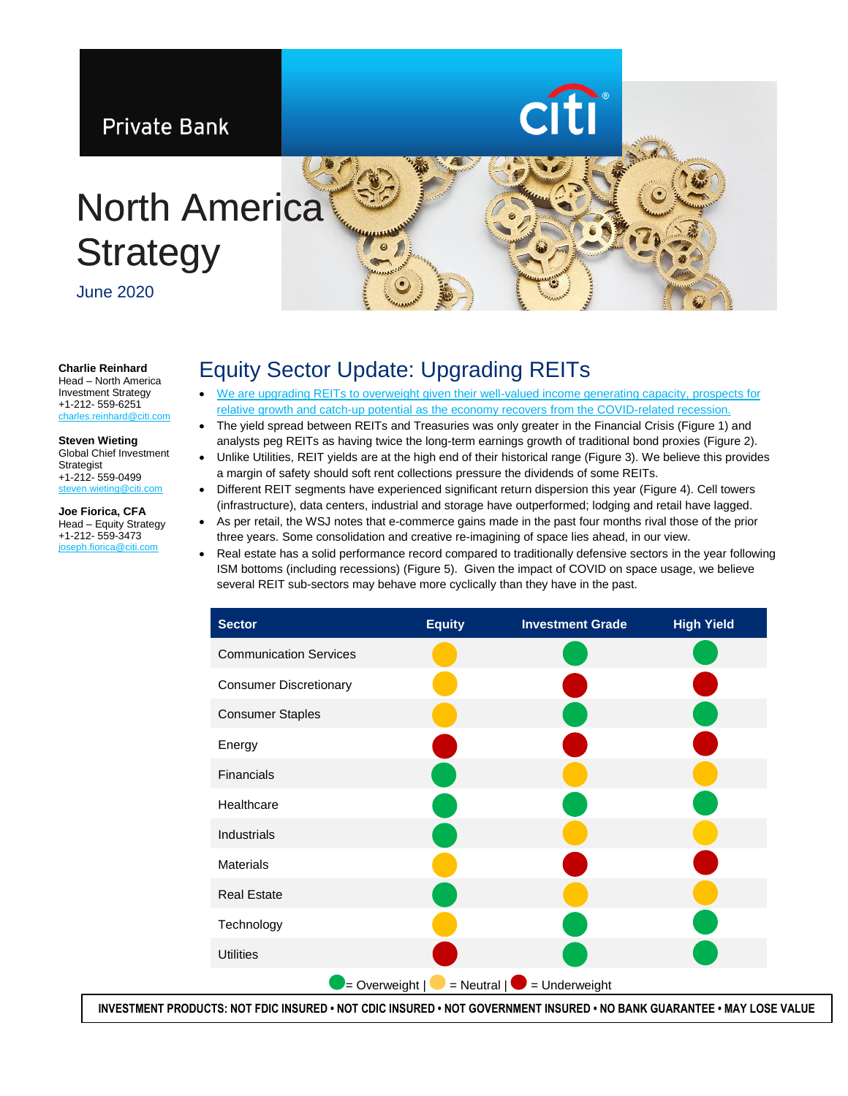

#### **Charlie Reinhard** Head – North America

Investment Strategy +1-212- 559-6251 les.reinhard@citi.

#### **Steven Wieting** Global Chief Investment

Strategist +1-212- 559-0499 [steven.wieting@citi.com](mailto:steven.wieting@citi.com)

**Joe Fiorica, CFA** Head – Equity Strategy +1-212- 559-3473 [joseph.fiorica@citi.com](mailto:joseph.fiorica@citi.com)

# Equity Sector Update: Upgrading REITs

- [We are upgrading REITs to overweight given their well-valued income generating capacity, prospects for](https://www.privatebank.citibank.com/ivc/docs/quadrant/CPB_Quadrant_061920.pdf)  relative growth and catch-up potential as the economy recovers from the [COVID-related recession.](https://www.privatebank.citibank.com/ivc/docs/quadrant/CPB_Quadrant_061920.pdf)
- The yield spread between REITs and Treasuries was only greater in the Financial Crisis (Figure 1) and analysts peg REITs as having twice the long-term earnings growth of traditional bond proxies (Figure 2).
- Unlike Utilities, REIT yields are at the high end of their historical range (Figure 3). We believe this provides a margin of safety should soft rent collections pressure the dividends of some REITs.
- Different REIT segments have experienced significant return dispersion this year (Figure 4). Cell towers (infrastructure), data centers, industrial and storage have outperformed; lodging and retail have lagged.
- As per retail, the WSJ notes that e-commerce gains made in the past four months rival those of the prior three years. Some consolidation and creative re-imagining of space lies ahead, in our view.
- Real estate has a solid performance record compared to traditionally defensive sectors in the year following ISM bottoms (including recessions) (Figure 5). Given the impact of COVID on space usage, we believe several REIT sub-sectors may behave more cyclically than they have in the past.



**INVESTMENT PRODUCTS: NOT FDIC INSURED • NOT CDIC INSURED • NOT GOVERNMENT INSURED • NO BANK GUARANTEE • MAY LOSE VALUE**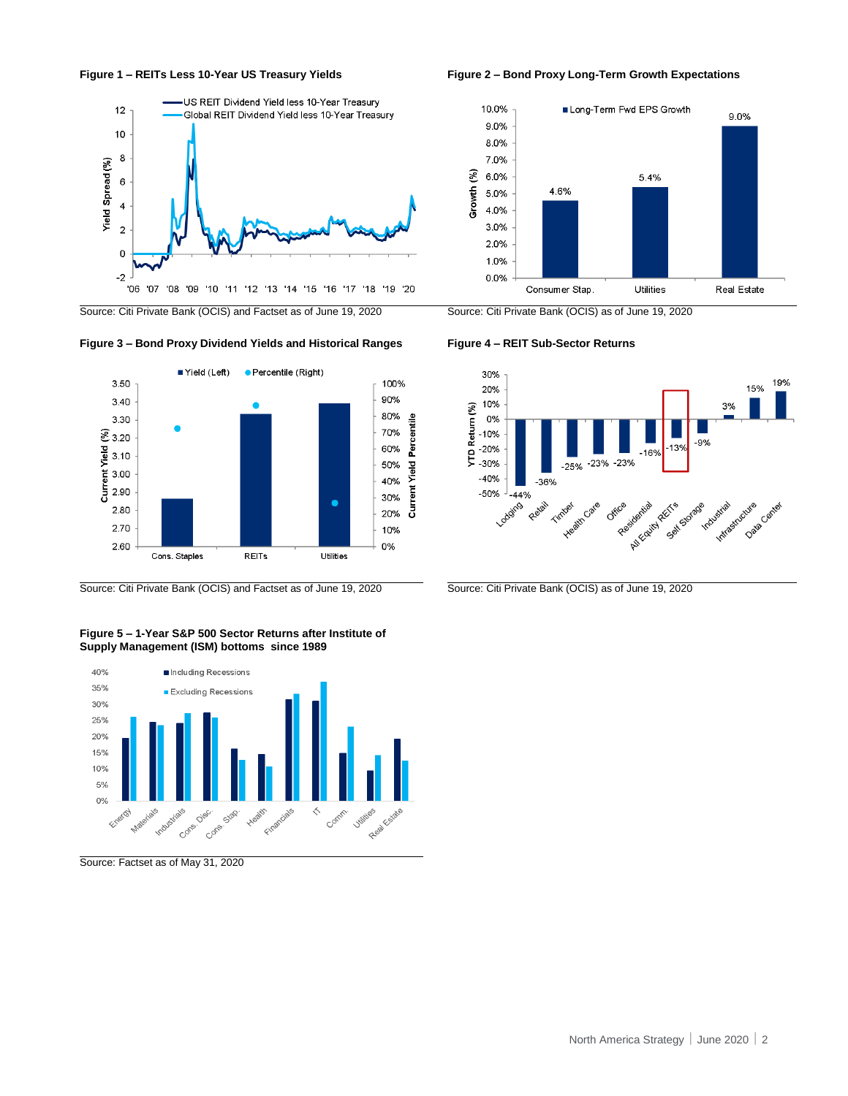



Source: Citi Private Bank (OCIS) and Factset as of June 19, 2020 Source: Citi Private Bank (OCIS) as of June 19, 2020

### **Figure 3 – Bond Proxy Dividend Yields and Historical Ranges Figure 4 – REIT Sub-Sector Returns**



Source: Citi Private Bank (OCIS) and Factset as of June 19, 2020 Source: Citi Private Bank (OCIS) as of June 19, 2020

**Figure 5 – 1-Year S&P 500 Sector Returns after Institute of Supply Management (ISM) bottoms since 1989**



Source: Factset as of May 31, 2020





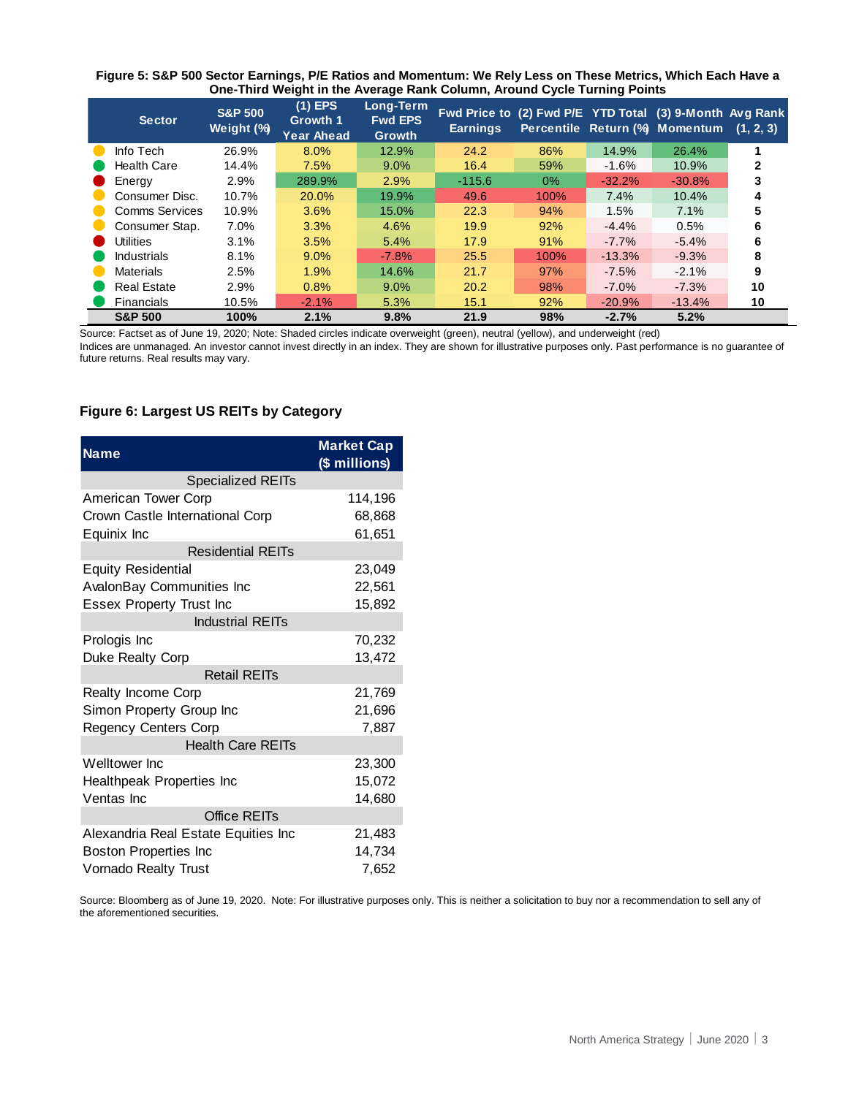| Figure 5: S&P 500 Sector Earnings, P/E Ratios and Momentum: We Rely Less on These Metrics, Which Each Have a |  |
|--------------------------------------------------------------------------------------------------------------|--|
| One-Third Weight in the Average Rank Column, Around Cycle Turning Points                                     |  |

| <b>Sector</b>      | <b>S&amp;P 500</b><br>Weight (%) | $(1)$ EPS<br>Growth 1<br>Year Ahead | Long-Term<br><b>Fwd EPS</b><br><b>Growth</b> | Fwd Price to (2) Fwd P/E YTD Total (3) 9-Month Avg Rank<br><b>Earnings</b> |       |          | Percentile Return (%) Momentum | (1, 2, 3) |
|--------------------|----------------------------------|-------------------------------------|----------------------------------------------|----------------------------------------------------------------------------|-------|----------|--------------------------------|-----------|
| Info Tech          | 26.9%                            | 8.0%                                | 12.9%                                        | 24.2                                                                       | 86%   | 14.9%    | 26.4%                          |           |
| <b>Health Care</b> | 14.4%                            | 7.5%                                | 9.0%                                         | 16.4                                                                       | 59%   | $-1.6%$  | 10.9%                          |           |
| Energy             | 2.9%                             | 289.9%                              | 2.9%                                         | $-115.6$                                                                   | $0\%$ | $-32.2%$ | $-30.8%$                       |           |
| Consumer Disc.     | 10.7%                            | 20.0%                               | 19.9%                                        | 49.6                                                                       | 100%  | 7.4%     | 10.4%                          |           |
|                    | Comms Services<br>10.9%          | 3.6%                                | 15.0%                                        | 22.3                                                                       | 94%   | 1.5%     | 7.1%                           |           |
| Consumer Stap.     | 7.0%                             | 3.3%                                | 4.6%                                         | 19.9                                                                       | 92%   | $-4.4%$  | 0.5%                           | 6         |
| Utilities          | 3.1%                             | 3.5%                                | 5.4%                                         | 17.9                                                                       | 91%   | $-7.7%$  | $-5.4%$                        | 6         |
| <b>Industrials</b> | 8.1%                             | $9.0\%$                             | $-7.8%$                                      | 25.5                                                                       | 100%  | $-13.3%$ | $-9.3%$                        | 8         |
| <b>Materials</b>   | 2.5%                             | 1.9%                                | 14.6%                                        | 21.7                                                                       | 97%   | $-7.5%$  | $-2.1%$                        |           |
| <b>Real Estate</b> | 2.9%                             | 0.8%                                | 9.0%                                         | 20.2                                                                       | 98%   | $-7.0\%$ | $-7.3%$                        | 10        |
| Financials         | 10.5%                            | $-2.1%$                             | 5.3%                                         | 15.1                                                                       | 92%   | $-20.9%$ | $-13.4%$                       | 10        |
| <b>S&amp;P 500</b> | 100%                             | 2.1%                                | 9.8%                                         | 21.9                                                                       | 98%   | $-2.7%$  | 5.2%                           |           |

Source: Factset as of June 19, 2020; Note: Shaded circles indicate overweight (green), neutral (yellow), and underweight (red)

Indices are unmanaged. An investor cannot invest directly in an index. They are shown for illustrative purposes only. Past performance is no guarantee of future returns. Real results may vary.

## **Figure 6: Largest US REITs by Category**

| <b>Name</b>                         | <b>Market Cap</b><br>(\$ millions) |
|-------------------------------------|------------------------------------|
| <b>Specialized REITs</b>            |                                    |
| American Tower Corp                 | 114,196                            |
| Crown Castle International Corp     | 68,868                             |
| Equinix Inc                         | 61,651                             |
| <b>Residential REITs</b>            |                                    |
| <b>Equity Residential</b>           | 23,049                             |
| AvalonBay Communities Inc           | 22,561                             |
| <b>Essex Property Trust Inc</b>     | 15,892                             |
| <b>Industrial REITs</b>             |                                    |
| Prologis Inc                        | 70,232                             |
| Duke Realty Corp                    | 13,472                             |
| <b>Retail REITs</b>                 |                                    |
| Realty Income Corp                  | 21,769                             |
| Simon Property Group Inc            | 21,696                             |
| <b>Regency Centers Corp</b>         | 7,887                              |
| <b>Health Care REITs</b>            |                                    |
| Welltower Inc                       | 23,300                             |
| Healthpeak Properties Inc           | 15,072                             |
| Ventas Inc                          | 14,680                             |
| Office REITs                        |                                    |
| Alexandria Real Estate Equities Inc | 21,483                             |
| <b>Boston Properties Inc</b>        | 14,734                             |
| <b>Vornado Realty Trust</b>         | 7,652                              |

Source: Bloomberg as of June 19, 2020. Note: For illustrative purposes only. This is neither a solicitation to buy nor a recommendation to sell any of the aforementioned securities.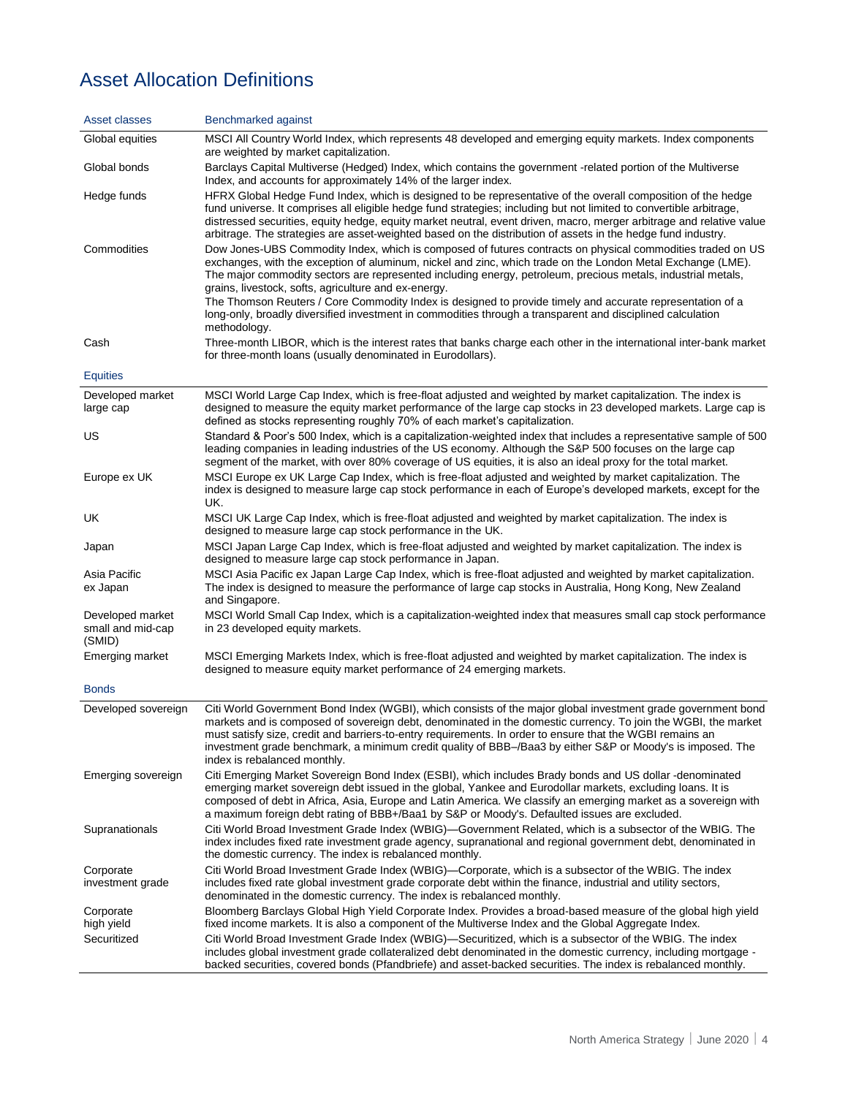# Asset Allocation Definitions

| Asset classes                                   | Benchmarked against                                                                                                                                                                                                                                                                                                                                                                                                                                                                                                                                                                                                                          |
|-------------------------------------------------|----------------------------------------------------------------------------------------------------------------------------------------------------------------------------------------------------------------------------------------------------------------------------------------------------------------------------------------------------------------------------------------------------------------------------------------------------------------------------------------------------------------------------------------------------------------------------------------------------------------------------------------------|
| Global equities                                 | MSCI All Country World Index, which represents 48 developed and emerging equity markets. Index components<br>are weighted by market capitalization.                                                                                                                                                                                                                                                                                                                                                                                                                                                                                          |
| Global bonds                                    | Barclays Capital Multiverse (Hedged) Index, which contains the government -related portion of the Multiverse<br>Index, and accounts for approximately 14% of the larger index.                                                                                                                                                                                                                                                                                                                                                                                                                                                               |
| Hedge funds                                     | HFRX Global Hedge Fund Index, which is designed to be representative of the overall composition of the hedge<br>fund universe. It comprises all eligible hedge fund strategies; including but not limited to convertible arbitrage,<br>distressed securities, equity hedge, equity market neutral, event driven, macro, merger arbitrage and relative value<br>arbitrage. The strategies are asset-weighted based on the distribution of assets in the hedge fund industry.                                                                                                                                                                  |
| Commodities                                     | Dow Jones-UBS Commodity Index, which is composed of futures contracts on physical commodities traded on US<br>exchanges, with the exception of aluminum, nickel and zinc, which trade on the London Metal Exchange (LME).<br>The major commodity sectors are represented including energy, petroleum, precious metals, industrial metals,<br>grains, livestock, softs, agriculture and ex-energy.<br>The Thomson Reuters / Core Commodity Index is designed to provide timely and accurate representation of a<br>long-only, broadly diversified investment in commodities through a transparent and disciplined calculation<br>methodology. |
| Cash                                            | Three-month LIBOR, which is the interest rates that banks charge each other in the international inter-bank market<br>for three-month loans (usually denominated in Eurodollars).                                                                                                                                                                                                                                                                                                                                                                                                                                                            |
| <b>Equities</b>                                 |                                                                                                                                                                                                                                                                                                                                                                                                                                                                                                                                                                                                                                              |
| Developed market<br>large cap                   | MSCI World Large Cap Index, which is free-float adjusted and weighted by market capitalization. The index is<br>designed to measure the equity market performance of the large cap stocks in 23 developed markets. Large cap is<br>defined as stocks representing roughly 70% of each market's capitalization.                                                                                                                                                                                                                                                                                                                               |
| US                                              | Standard & Poor's 500 Index, which is a capitalization-weighted index that includes a representative sample of 500<br>leading companies in leading industries of the US economy. Although the S&P 500 focuses on the large cap<br>segment of the market, with over 80% coverage of US equities, it is also an ideal proxy for the total market.                                                                                                                                                                                                                                                                                              |
| Europe ex UK                                    | MSCI Europe ex UK Large Cap Index, which is free-float adjusted and weighted by market capitalization. The<br>index is designed to measure large cap stock performance in each of Europe's developed markets, except for the<br>UK.                                                                                                                                                                                                                                                                                                                                                                                                          |
| UK                                              | MSCI UK Large Cap Index, which is free-float adjusted and weighted by market capitalization. The index is<br>designed to measure large cap stock performance in the UK.                                                                                                                                                                                                                                                                                                                                                                                                                                                                      |
| Japan                                           | MSCI Japan Large Cap Index, which is free-float adjusted and weighted by market capitalization. The index is<br>designed to measure large cap stock performance in Japan.                                                                                                                                                                                                                                                                                                                                                                                                                                                                    |
| Asia Pacific<br>ex Japan                        | MSCI Asia Pacific ex Japan Large Cap Index, which is free-float adjusted and weighted by market capitalization.<br>The index is designed to measure the performance of large cap stocks in Australia, Hong Kong, New Zealand<br>and Singapore.                                                                                                                                                                                                                                                                                                                                                                                               |
| Developed market<br>small and mid-cap<br>(SMID) | MSCI World Small Cap Index, which is a capitalization-weighted index that measures small cap stock performance<br>in 23 developed equity markets.                                                                                                                                                                                                                                                                                                                                                                                                                                                                                            |
| Emerging market                                 | MSCI Emerging Markets Index, which is free-float adjusted and weighted by market capitalization. The index is<br>designed to measure equity market performance of 24 emerging markets.                                                                                                                                                                                                                                                                                                                                                                                                                                                       |
| <b>Bonds</b>                                    |                                                                                                                                                                                                                                                                                                                                                                                                                                                                                                                                                                                                                                              |
| Developed sovereign                             | Citi World Government Bond Index (WGBI), which consists of the major global investment grade government bond<br>markets and is composed of sovereign debt, denominated in the domestic currency. To join the WGBI, the market<br>must satisfy size, credit and barriers-to-entry requirements. In order to ensure that the WGBI remains an<br>investment grade benchmark, a minimum credit quality of BBB-/Baa3 by either S&P or Moody's is imposed. The<br>index is rebalanced monthly.                                                                                                                                                     |
| Emerging sovereign                              | Citi Emerging Market Sovereign Bond Index (ESBI), which includes Brady bonds and US dollar -denominated<br>emerging market sovereign debt issued in the global, Yankee and Eurodollar markets, excluding loans. It is<br>composed of debt in Africa, Asia, Europe and Latin America. We classify an emerging market as a sovereign with<br>a maximum foreign debt rating of BBB+/Baa1 by S&P or Moody's. Defaulted issues are excluded.                                                                                                                                                                                                      |
| Supranationals                                  | Citi World Broad Investment Grade Index (WBIG)—Government Related, which is a subsector of the WBIG. The<br>index includes fixed rate investment grade agency, supranational and regional government debt, denominated in<br>the domestic currency. The index is rebalanced monthly.                                                                                                                                                                                                                                                                                                                                                         |
| Corporate<br>investment grade                   | Citi World Broad Investment Grade Index (WBIG)—Corporate, which is a subsector of the WBIG. The index<br>includes fixed rate global investment grade corporate debt within the finance, industrial and utility sectors,<br>denominated in the domestic currency. The index is rebalanced monthly.                                                                                                                                                                                                                                                                                                                                            |
| Corporate<br>high yield                         | Bloomberg Barclays Global High Yield Corporate Index. Provides a broad-based measure of the global high yield<br>fixed income markets. It is also a component of the Multiverse Index and the Global Aggregate Index.                                                                                                                                                                                                                                                                                                                                                                                                                        |
| Securitized                                     | Citi World Broad Investment Grade Index (WBIG)—Securitized, which is a subsector of the WBIG. The index<br>includes global investment grade collateralized debt denominated in the domestic currency, including mortgage -<br>backed securities, covered bonds (Pfandbriefe) and asset-backed securities. The index is rebalanced monthly.                                                                                                                                                                                                                                                                                                   |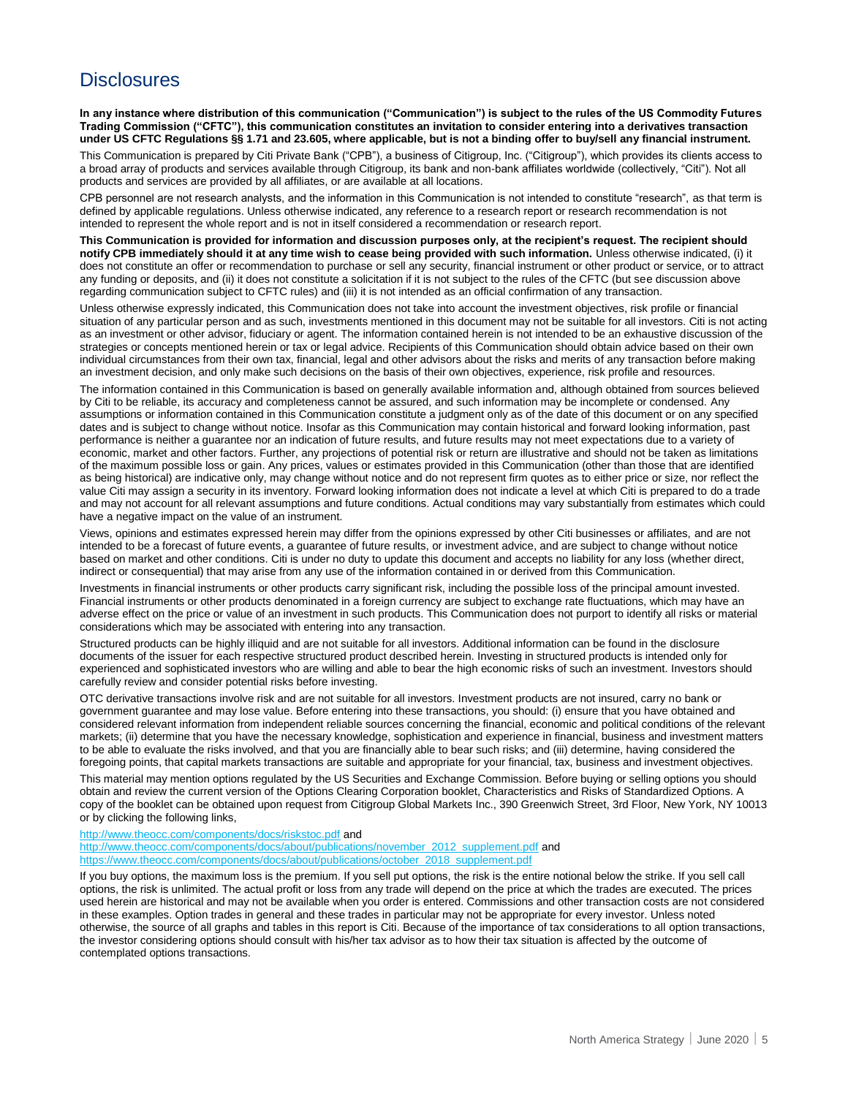# **Disclosures**

**In any instance where distribution of this communication ("Communication") is subject to the rules of the US Commodity Futures Trading Commission ("CFTC"), this communication constitutes an invitation to consider entering into a derivatives transaction under US CFTC Regulations §§ 1.71 and 23.605, where applicable, but is not a binding offer to buy/sell any financial instrument.**

This Communication is prepared by Citi Private Bank ("CPB"), a business of Citigroup, Inc. ("Citigroup"), which provides its clients access to a broad array of products and services available through Citigroup, its bank and non-bank affiliates worldwide (collectively, "Citi"). Not all products and services are provided by all affiliates, or are available at all locations.

CPB personnel are not research analysts, and the information in this Communication is not intended to constitute "research", as that term is defined by applicable regulations. Unless otherwise indicated, any reference to a research report or research recommendation is not intended to represent the whole report and is not in itself considered a recommendation or research report.

**This Communication is provided for information and discussion purposes only, at the recipient's request. The recipient should notify CPB immediately should it at any time wish to cease being provided with such information.** Unless otherwise indicated, (i) it does not constitute an offer or recommendation to purchase or sell any security, financial instrument or other product or service, or to attract any funding or deposits, and (ii) it does not constitute a solicitation if it is not subject to the rules of the CFTC (but see discussion above regarding communication subject to CFTC rules) and (iii) it is not intended as an official confirmation of any transaction.

Unless otherwise expressly indicated, this Communication does not take into account the investment objectives, risk profile or financial situation of any particular person and as such, investments mentioned in this document may not be suitable for all investors. Citi is not acting as an investment or other advisor, fiduciary or agent. The information contained herein is not intended to be an exhaustive discussion of the strategies or concepts mentioned herein or tax or legal advice. Recipients of this Communication should obtain advice based on their own individual circumstances from their own tax, financial, legal and other advisors about the risks and merits of any transaction before making an investment decision, and only make such decisions on the basis of their own objectives, experience, risk profile and resources.

The information contained in this Communication is based on generally available information and, although obtained from sources believed by Citi to be reliable, its accuracy and completeness cannot be assured, and such information may be incomplete or condensed. Any assumptions or information contained in this Communication constitute a judgment only as of the date of this document or on any specified dates and is subject to change without notice. Insofar as this Communication may contain historical and forward looking information, past performance is neither a guarantee nor an indication of future results, and future results may not meet expectations due to a variety of economic, market and other factors. Further, any projections of potential risk or return are illustrative and should not be taken as limitations of the maximum possible loss or gain. Any prices, values or estimates provided in this Communication (other than those that are identified as being historical) are indicative only, may change without notice and do not represent firm quotes as to either price or size, nor reflect the value Citi may assign a security in its inventory. Forward looking information does not indicate a level at which Citi is prepared to do a trade and may not account for all relevant assumptions and future conditions. Actual conditions may vary substantially from estimates which could have a negative impact on the value of an instrument.

Views, opinions and estimates expressed herein may differ from the opinions expressed by other Citi businesses or affiliates, and are not intended to be a forecast of future events, a guarantee of future results, or investment advice, and are subject to change without notice based on market and other conditions. Citi is under no duty to update this document and accepts no liability for any loss (whether direct, indirect or consequential) that may arise from any use of the information contained in or derived from this Communication.

Investments in financial instruments or other products carry significant risk, including the possible loss of the principal amount invested. Financial instruments or other products denominated in a foreign currency are subject to exchange rate fluctuations, which may have an adverse effect on the price or value of an investment in such products. This Communication does not purport to identify all risks or material considerations which may be associated with entering into any transaction.

Structured products can be highly illiquid and are not suitable for all investors. Additional information can be found in the disclosure documents of the issuer for each respective structured product described herein. Investing in structured products is intended only for experienced and sophisticated investors who are willing and able to bear the high economic risks of such an investment. Investors should carefully review and consider potential risks before investing.

OTC derivative transactions involve risk and are not suitable for all investors. Investment products are not insured, carry no bank or government guarantee and may lose value. Before entering into these transactions, you should: (i) ensure that you have obtained and considered relevant information from independent reliable sources concerning the financial, economic and political conditions of the relevant markets; (ii) determine that you have the necessary knowledge, sophistication and experience in financial, business and investment matters to be able to evaluate the risks involved, and that you are financially able to bear such risks; and (iii) determine, having considered the foregoing points, that capital markets transactions are suitable and appropriate for your financial, tax, business and investment objectives.

This material may mention options regulated by the US Securities and Exchange Commission. Before buying or selling options you should obtain and review the current version of the Options Clearing Corporation booklet, Characteristics and Risks of Standardized Options. A copy of the booklet can be obtained upon request from Citigroup Global Markets Inc., 390 Greenwich Street, 3rd Floor, New York, NY 10013 or by clicking the following links,

<http://www.theocc.com/components/docs/riskstoc.pdf> and

[http://www.theocc.com/components/docs/about/publications/november\\_2012\\_supplement.pdf](http://www.theocc.com/components/docs/about/publications/november_2012_supplement.pdf) and [https://www.theocc.com/components/docs/about/publications/october\\_2018\\_supplement.pdf](https://www.theocc.com/components/docs/about/publications/october_2018_supplement.pdf#_blank)

If you buy options, the maximum loss is the premium. If you sell put options, the risk is the entire notional below the strike. If you sell call options, the risk is unlimited. The actual profit or loss from any trade will depend on the price at which the trades are executed. The prices used herein are historical and may not be available when you order is entered. Commissions and other transaction costs are not considered in these examples. Option trades in general and these trades in particular may not be appropriate for every investor. Unless noted otherwise, the source of all graphs and tables in this report is Citi. Because of the importance of tax considerations to all option transactions, the investor considering options should consult with his/her tax advisor as to how their tax situation is affected by the outcome of contemplated options transactions.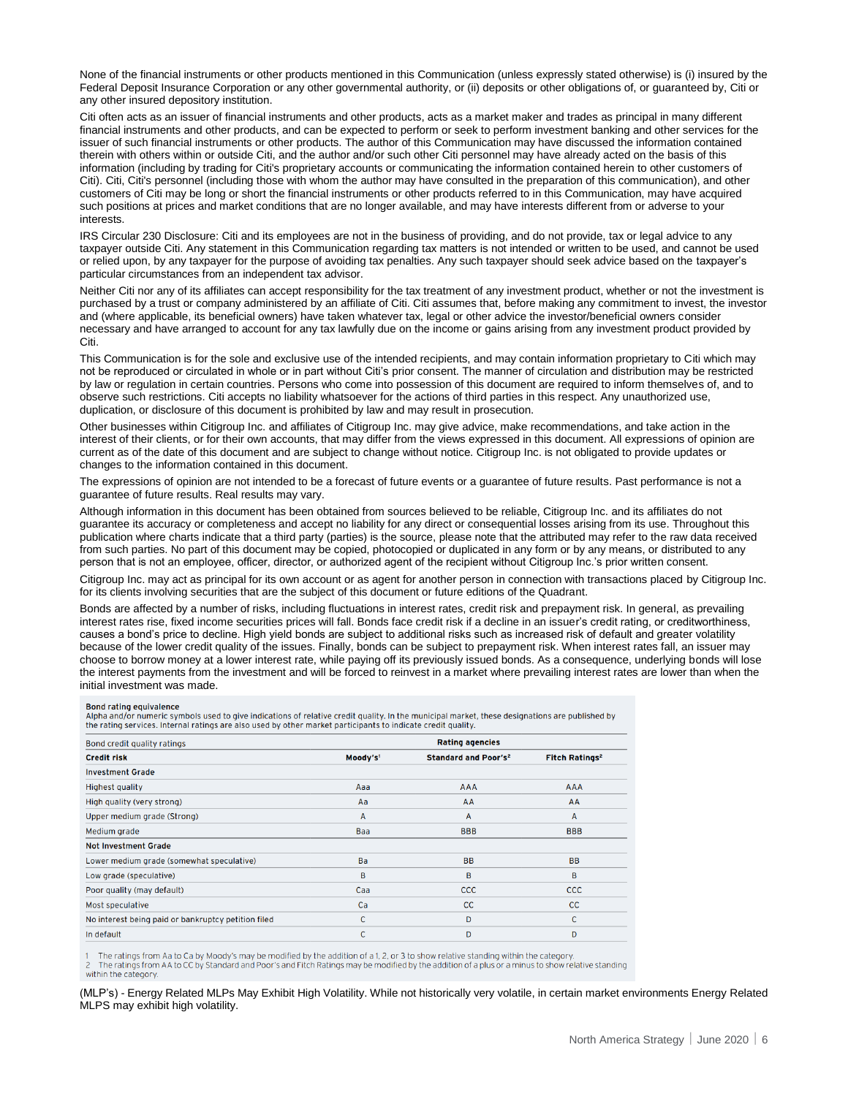None of the financial instruments or other products mentioned in this Communication (unless expressly stated otherwise) is (i) insured by the Federal Deposit Insurance Corporation or any other governmental authority, or (ii) deposits or other obligations of, or guaranteed by, Citi or any other insured depository institution.

Citi often acts as an issuer of financial instruments and other products, acts as a market maker and trades as principal in many different financial instruments and other products, and can be expected to perform or seek to perform investment banking and other services for the issuer of such financial instruments or other products. The author of this Communication may have discussed the information contained therein with others within or outside Citi, and the author and/or such other Citi personnel may have already acted on the basis of this information (including by trading for Citi's proprietary accounts or communicating the information contained herein to other customers of Citi). Citi, Citi's personnel (including those with whom the author may have consulted in the preparation of this communication), and other customers of Citi may be long or short the financial instruments or other products referred to in this Communication, may have acquired such positions at prices and market conditions that are no longer available, and may have interests different from or adverse to your interests.

IRS Circular 230 Disclosure: Citi and its employees are not in the business of providing, and do not provide, tax or legal advice to any taxpayer outside Citi. Any statement in this Communication regarding tax matters is not intended or written to be used, and cannot be used or relied upon, by any taxpayer for the purpose of avoiding tax penalties. Any such taxpayer should seek advice based on the taxpayer's particular circumstances from an independent tax advisor.

Neither Citi nor any of its affiliates can accept responsibility for the tax treatment of any investment product, whether or not the investment is purchased by a trust or company administered by an affiliate of Citi. Citi assumes that, before making any commitment to invest, the investor and (where applicable, its beneficial owners) have taken whatever tax, legal or other advice the investor/beneficial owners consider necessary and have arranged to account for any tax lawfully due on the income or gains arising from any investment product provided by Citi.

This Communication is for the sole and exclusive use of the intended recipients, and may contain information proprietary to Citi which may not be reproduced or circulated in whole or in part without Citi's prior consent. The manner of circulation and distribution may be restricted by law or regulation in certain countries. Persons who come into possession of this document are required to inform themselves of, and to observe such restrictions. Citi accepts no liability whatsoever for the actions of third parties in this respect. Any unauthorized use, duplication, or disclosure of this document is prohibited by law and may result in prosecution.

Other businesses within Citigroup Inc. and affiliates of Citigroup Inc. may give advice, make recommendations, and take action in the interest of their clients, or for their own accounts, that may differ from the views expressed in this document. All expressions of opinion are current as of the date of this document and are subject to change without notice. Citigroup Inc. is not obligated to provide updates or changes to the information contained in this document.

The expressions of opinion are not intended to be a forecast of future events or a guarantee of future results. Past performance is not a guarantee of future results. Real results may vary.

Although information in this document has been obtained from sources believed to be reliable, Citigroup Inc. and its affiliates do not guarantee its accuracy or completeness and accept no liability for any direct or consequential losses arising from its use. Throughout this publication where charts indicate that a third party (parties) is the source, please note that the attributed may refer to the raw data received from such parties. No part of this document may be copied, photocopied or duplicated in any form or by any means, or distributed to any person that is not an employee, officer, director, or authorized agent of the recipient without Citigroup Inc.'s prior written consent.

Citigroup Inc. may act as principal for its own account or as agent for another person in connection with transactions placed by Citigroup Inc. for its clients involving securities that are the subject of this document or future editions of the Quadrant.

Bonds are affected by a number of risks, including fluctuations in interest rates, credit risk and prepayment risk. In general, as prevailing interest rates rise, fixed income securities prices will fall. Bonds face credit risk if a decline in an issuer's credit rating, or creditworthiness, causes a bond's price to decline. High yield bonds are subject to additional risks such as increased risk of default and greater volatility because of the lower credit quality of the issues. Finally, bonds can be subject to prepayment risk. When interest rates fall, an issuer may choose to borrow money at a lower interest rate, while paying off its previously issued bonds. As a consequence, underlying bonds will lose the interest payments from the investment and will be forced to reinvest in a market where prevailing interest rates are lower than when the initial investment was made.

#### **Bond rating equivalence**

Direct and for numeric symbols used to give indications of relative credit quality. In the municipal market, these designations are published by<br>the rating services. Internal ratings are also used by other market participa

| <b>Rating agencies</b> |                                        |                                  |  |  |
|------------------------|----------------------------------------|----------------------------------|--|--|
| Moody's <sup>1</sup>   | <b>Standard and Poor's<sup>2</sup></b> | <b>Fitch Ratings<sup>2</sup></b> |  |  |
|                        |                                        |                                  |  |  |
| Aaa                    | AAA                                    | <b>AAA</b>                       |  |  |
| Aa                     | AA                                     | AA                               |  |  |
| A                      | $\mathsf{A}$                           | $\mathsf{A}$                     |  |  |
| Baa                    | <b>BBB</b>                             | <b>BBB</b>                       |  |  |
|                        |                                        |                                  |  |  |
| Ba                     | <b>BB</b>                              | <b>BB</b>                        |  |  |
| B                      | в                                      | B                                |  |  |
| Caa                    | <b>CCC</b>                             | <b>CCC</b>                       |  |  |
| Ca                     | cc                                     | CC.                              |  |  |
| $\mathsf{C}$           | D                                      | C                                |  |  |
| C                      | D                                      | D                                |  |  |
|                        |                                        |                                  |  |  |

The ratings from Aa to Ca by Moody's may be modified by the addition of a 1, 2, or 3 to show relative standing within the category.<br>The ratings from AA to CC by Standard and Poor's and Fitch Ratings may be modified by the within the category

(MLP's) - Energy Related MLPs May Exhibit High Volatility. While not historically very volatile, in certain market environments Energy Related MLPS may exhibit high volatility.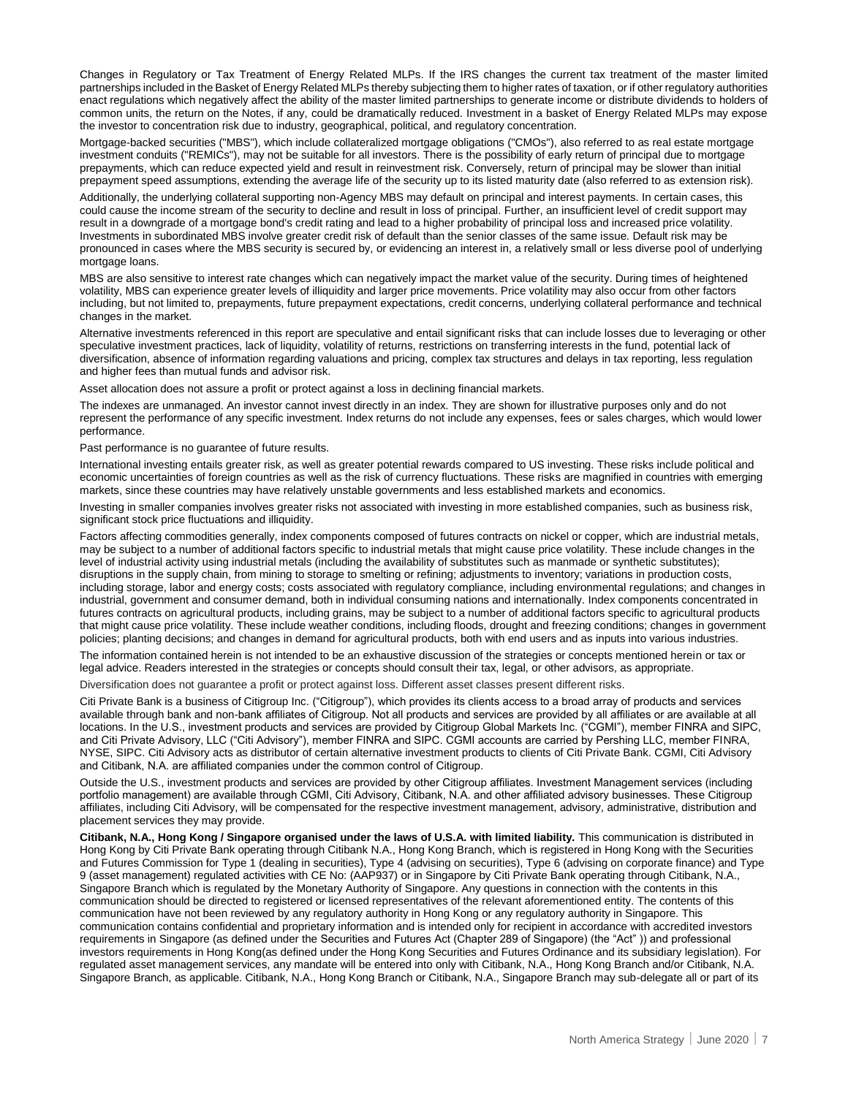Changes in Regulatory or Tax Treatment of Energy Related MLPs. If the IRS changes the current tax treatment of the master limited partnerships included in the Basket of Energy Related MLPs thereby subjecting them to higher rates of taxation, or if other regulatory authorities enact regulations which negatively affect the ability of the master limited partnerships to generate income or distribute dividends to holders of common units, the return on the Notes, if any, could be dramatically reduced. Investment in a basket of Energy Related MLPs may expose the investor to concentration risk due to industry, geographical, political, and regulatory concentration.

Mortgage-backed securities ("MBS"), which include collateralized mortgage obligations ("CMOs"), also referred to as real estate mortgage investment conduits ("REMICs"), may not be suitable for all investors. There is the possibility of early return of principal due to mortgage prepayments, which can reduce expected yield and result in reinvestment risk. Conversely, return of principal may be slower than initial prepayment speed assumptions, extending the average life of the security up to its listed maturity date (also referred to as extension risk).

Additionally, the underlying collateral supporting non-Agency MBS may default on principal and interest payments. In certain cases, this could cause the income stream of the security to decline and result in loss of principal. Further, an insufficient level of credit support may result in a downgrade of a mortgage bond's credit rating and lead to a higher probability of principal loss and increased price volatility. Investments in subordinated MBS involve greater credit risk of default than the senior classes of the same issue. Default risk may be pronounced in cases where the MBS security is secured by, or evidencing an interest in, a relatively small or less diverse pool of underlying mortgage loans.

MBS are also sensitive to interest rate changes which can negatively impact the market value of the security. During times of heightened volatility, MBS can experience greater levels of illiquidity and larger price movements. Price volatility may also occur from other factors including, but not limited to, prepayments, future prepayment expectations, credit concerns, underlying collateral performance and technical changes in the market.

Alternative investments referenced in this report are speculative and entail significant risks that can include losses due to leveraging or other speculative investment practices, lack of liquidity, volatility of returns, restrictions on transferring interests in the fund, potential lack of diversification, absence of information regarding valuations and pricing, complex tax structures and delays in tax reporting, less regulation and higher fees than mutual funds and advisor risk.

Asset allocation does not assure a profit or protect against a loss in declining financial markets.

The indexes are unmanaged. An investor cannot invest directly in an index. They are shown for illustrative purposes only and do not represent the performance of any specific investment. Index returns do not include any expenses, fees or sales charges, which would lower performance.

Past performance is no guarantee of future results.

International investing entails greater risk, as well as greater potential rewards compared to US investing. These risks include political and economic uncertainties of foreign countries as well as the risk of currency fluctuations. These risks are magnified in countries with emerging markets, since these countries may have relatively unstable governments and less established markets and economics.

Investing in smaller companies involves greater risks not associated with investing in more established companies, such as business risk, significant stock price fluctuations and illiquidity.

Factors affecting commodities generally, index components composed of futures contracts on nickel or copper, which are industrial metals, may be subject to a number of additional factors specific to industrial metals that might cause price volatility. These include changes in the level of industrial activity using industrial metals (including the availability of substitutes such as manmade or synthetic substitutes); disruptions in the supply chain, from mining to storage to smelting or refining; adjustments to inventory; variations in production costs, including storage, labor and energy costs; costs associated with regulatory compliance, including environmental regulations; and changes in industrial, government and consumer demand, both in individual consuming nations and internationally. Index components concentrated in futures contracts on agricultural products, including grains, may be subject to a number of additional factors specific to agricultural products that might cause price volatility. These include weather conditions, including floods, drought and freezing conditions; changes in government policies; planting decisions; and changes in demand for agricultural products, both with end users and as inputs into various industries.

The information contained herein is not intended to be an exhaustive discussion of the strategies or concepts mentioned herein or tax or legal advice. Readers interested in the strategies or concepts should consult their tax, legal, or other advisors, as appropriate.

Diversification does not guarantee a profit or protect against loss. Different asset classes present different risks.

Citi Private Bank is a business of Citigroup Inc. ("Citigroup"), which provides its clients access to a broad array of products and services available through bank and non-bank affiliates of Citigroup. Not all products and services are provided by all affiliates or are available at all locations. In the U.S., investment products and services are provided by Citigroup Global Markets Inc. ("CGMI"), member FINRA and SIPC, and Citi Private Advisory, LLC ("Citi Advisory"), member FINRA and SIPC. CGMI accounts are carried by Pershing LLC, member FINRA, NYSE, SIPC. Citi Advisory acts as distributor of certain alternative investment products to clients of Citi Private Bank. CGMI, Citi Advisory and Citibank, N.A. are affiliated companies under the common control of Citigroup.

Outside the U.S., investment products and services are provided by other Citigroup affiliates. Investment Management services (including portfolio management) are available through CGMI, Citi Advisory, Citibank, N.A. and other affiliated advisory businesses. These Citigroup affiliates, including Citi Advisory, will be compensated for the respective investment management, advisory, administrative, distribution and placement services they may provide.

**Citibank, N.A., Hong Kong / Singapore organised under the laws of U.S.A. with limited liability.** This communication is distributed in Hong Kong by Citi Private Bank operating through Citibank N.A., Hong Kong Branch, which is registered in Hong Kong with the Securities and Futures Commission for Type 1 (dealing in securities), Type 4 (advising on securities), Type 6 (advising on corporate finance) and Type 9 (asset management) regulated activities with CE No: (AAP937) or in Singapore by Citi Private Bank operating through Citibank, N.A., Singapore Branch which is regulated by the Monetary Authority of Singapore. Any questions in connection with the contents in this communication should be directed to registered or licensed representatives of the relevant aforementioned entity. The contents of this communication have not been reviewed by any regulatory authority in Hong Kong or any regulatory authority in Singapore. This communication contains confidential and proprietary information and is intended only for recipient in accordance with accredited investors requirements in Singapore (as defined under the Securities and Futures Act (Chapter 289 of Singapore) (the "Act" )) and professional investors requirements in Hong Kong(as defined under the Hong Kong Securities and Futures Ordinance and its subsidiary legislation). For regulated asset management services, any mandate will be entered into only with Citibank, N.A., Hong Kong Branch and/or Citibank, N.A. Singapore Branch, as applicable. Citibank, N.A., Hong Kong Branch or Citibank, N.A., Singapore Branch may sub-delegate all or part of its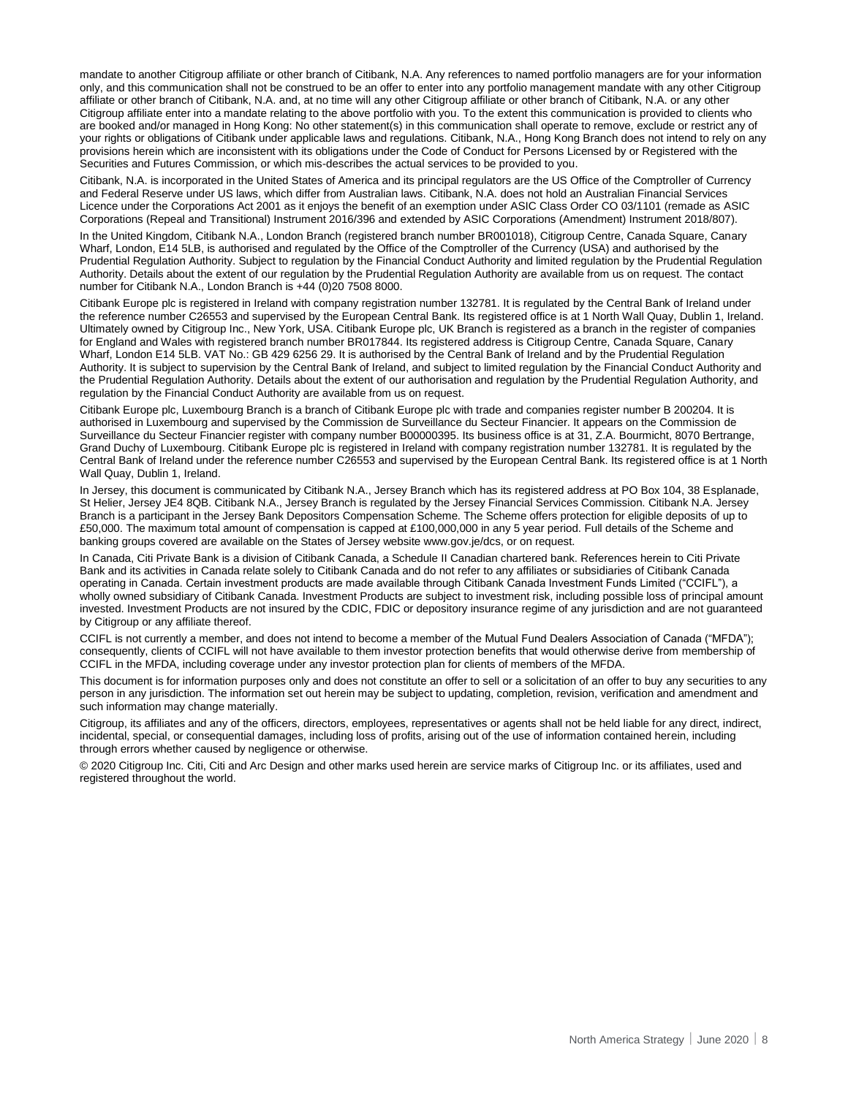mandate to another Citigroup affiliate or other branch of Citibank, N.A. Any references to named portfolio managers are for your information only, and this communication shall not be construed to be an offer to enter into any portfolio management mandate with any other Citigroup affiliate or other branch of Citibank, N.A. and, at no time will any other Citigroup affiliate or other branch of Citibank, N.A. or any other Citigroup affiliate enter into a mandate relating to the above portfolio with you. To the extent this communication is provided to clients who are booked and/or managed in Hong Kong: No other statement(s) in this communication shall operate to remove, exclude or restrict any of your rights or obligations of Citibank under applicable laws and regulations. Citibank, N.A., Hong Kong Branch does not intend to rely on any provisions herein which are inconsistent with its obligations under the Code of Conduct for Persons Licensed by or Registered with the Securities and Futures Commission, or which mis-describes the actual services to be provided to you.

Citibank, N.A. is incorporated in the United States of America and its principal regulators are the US Office of the Comptroller of Currency and Federal Reserve under US laws, which differ from Australian laws. Citibank, N.A. does not hold an Australian Financial Services Licence under the Corporations Act 2001 as it enjoys the benefit of an exemption under ASIC Class Order CO 03/1101 (remade as ASIC Corporations (Repeal and Transitional) Instrument 2016/396 and extended by ASIC Corporations (Amendment) Instrument 2018/807).

In the United Kingdom, Citibank N.A., London Branch (registered branch number BR001018), Citigroup Centre, Canada Square, Canary Wharf, London, E14 5LB, is authorised and regulated by the Office of the Comptroller of the Currency (USA) and authorised by the Prudential Regulation Authority. Subject to regulation by the Financial Conduct Authority and limited regulation by the Prudential Regulation Authority. Details about the extent of our regulation by the Prudential Regulation Authority are available from us on request. The contact number for Citibank N.A., London Branch is +44 (0)20 7508 8000.

Citibank Europe plc is registered in Ireland with company registration number 132781. It is regulated by the Central Bank of Ireland under the reference number C26553 and supervised by the European Central Bank. Its registered office is at 1 North Wall Quay, Dublin 1, Ireland. Ultimately owned by Citigroup Inc., New York, USA. Citibank Europe plc, UK Branch is registered as a branch in the register of companies for England and Wales with registered branch number BR017844. Its registered address is Citigroup Centre, Canada Square, Canary Wharf, London E14 5LB. VAT No.: GB 429 6256 29. It is authorised by the Central Bank of Ireland and by the Prudential Regulation Authority. It is subject to supervision by the Central Bank of Ireland, and subject to limited regulation by the Financial Conduct Authority and the Prudential Regulation Authority. Details about the extent of our authorisation and regulation by the Prudential Regulation Authority, and regulation by the Financial Conduct Authority are available from us on request.

Citibank Europe plc, Luxembourg Branch is a branch of Citibank Europe plc with trade and companies register number B 200204. It is authorised in Luxembourg and supervised by the Commission de Surveillance du Secteur Financier. It appears on the Commission de Surveillance du Secteur Financier register with company number B00000395. Its business office is at 31, Z.A. Bourmicht, 8070 Bertrange, Grand Duchy of Luxembourg. Citibank Europe plc is registered in Ireland with company registration number 132781. It is regulated by the Central Bank of Ireland under the reference number C26553 and supervised by the European Central Bank. Its registered office is at 1 North Wall Quay, Dublin 1, Ireland.

In Jersey, this document is communicated by Citibank N.A., Jersey Branch which has its registered address at PO Box 104, 38 Esplanade, St Helier, Jersey JE4 8QB. Citibank N.A., Jersey Branch is regulated by the Jersey Financial Services Commission. Citibank N.A. Jersey Branch is a participant in the Jersey Bank Depositors Compensation Scheme. The Scheme offers protection for eligible deposits of up to £50,000. The maximum total amount of compensation is capped at £100,000,000 in any 5 year period. Full details of the Scheme and banking groups covered are available on the States of Jersey website www.gov.je/dcs, or on request.

In Canada, Citi Private Bank is a division of Citibank Canada, a Schedule II Canadian chartered bank. References herein to Citi Private Bank and its activities in Canada relate solely to Citibank Canada and do not refer to any affiliates or subsidiaries of Citibank Canada operating in Canada. Certain investment products are made available through Citibank Canada Investment Funds Limited ("CCIFL"), a wholly owned subsidiary of Citibank Canada. Investment Products are subject to investment risk, including possible loss of principal amount invested. Investment Products are not insured by the CDIC, FDIC or depository insurance regime of any jurisdiction and are not guaranteed by Citigroup or any affiliate thereof.

CCIFL is not currently a member, and does not intend to become a member of the Mutual Fund Dealers Association of Canada ("MFDA"); consequently, clients of CCIFL will not have available to them investor protection benefits that would otherwise derive from membership of CCIFL in the MFDA, including coverage under any investor protection plan for clients of members of the MFDA.

This document is for information purposes only and does not constitute an offer to sell or a solicitation of an offer to buy any securities to any person in any jurisdiction. The information set out herein may be subject to updating, completion, revision, verification and amendment and such information may change materially.

Citigroup, its affiliates and any of the officers, directors, employees, representatives or agents shall not be held liable for any direct, indirect, incidental, special, or consequential damages, including loss of profits, arising out of the use of information contained herein, including through errors whether caused by negligence or otherwise.

© 2020 Citigroup Inc. Citi, Citi and Arc Design and other marks used herein are service marks of Citigroup Inc. or its affiliates, used and registered throughout the world.